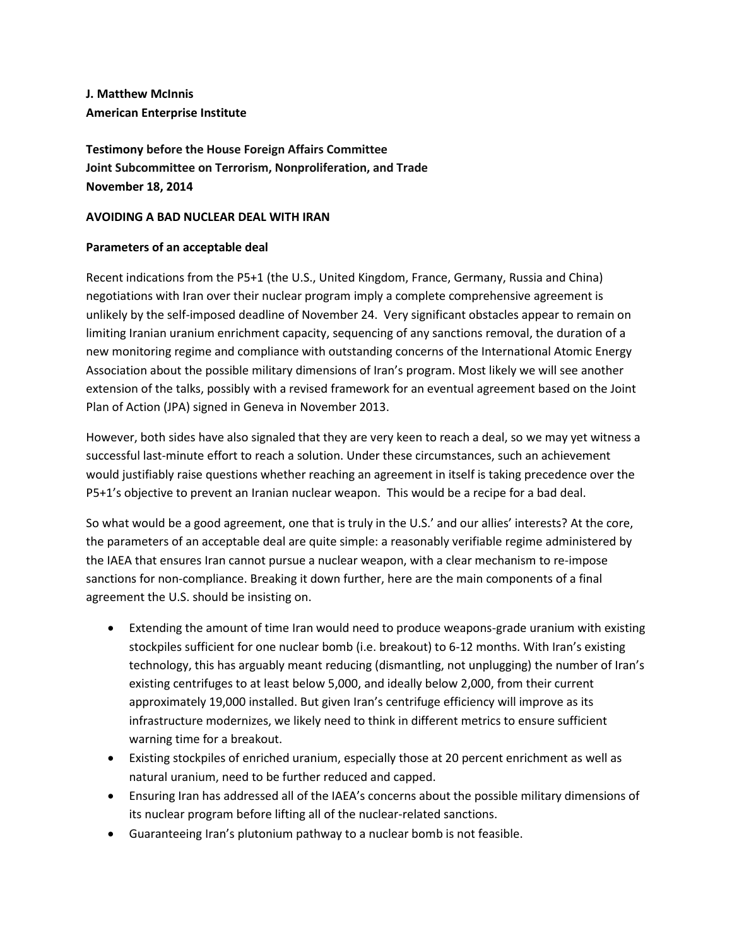**J. Matthew McInnis American Enterprise Institute**

**Testimony before the House Foreign Affairs Committee Joint Subcommittee on Terrorism, Nonproliferation, and Trade November 18, 2014**

### **AVOIDING A BAD NUCLEAR DEAL WITH IRAN**

### **Parameters of an acceptable deal**

Recent indications from the P5+1 (the U.S., United Kingdom, France, Germany, Russia and China) negotiations with Iran over their nuclear program imply a complete comprehensive agreement is unlikely by the self-imposed deadline of November 24. Very significant obstacles appear to remain on limiting Iranian uranium enrichment capacity, sequencing of any sanctions removal, the duration of a new monitoring regime and compliance with outstanding concerns of the International Atomic Energy Association about the possible military dimensions of Iran's program. Most likely we will see another extension of the talks, possibly with a revised framework for an eventual agreement based on the Joint Plan of Action (JPA) signed in Geneva in November 2013.

However, both sides have also signaled that they are very keen to reach a deal, so we may yet witness a successful last-minute effort to reach a solution. Under these circumstances, such an achievement would justifiably raise questions whether reaching an agreement in itself is taking precedence over the P5+1's objective to prevent an Iranian nuclear weapon. This would be a recipe for a bad deal.

So what would be a good agreement, one that is truly in the U.S.' and our allies' interests? At the core, the parameters of an acceptable deal are quite simple: a reasonably verifiable regime administered by the IAEA that ensures Iran cannot pursue a nuclear weapon, with a clear mechanism to re-impose sanctions for non-compliance. Breaking it down further, here are the main components of a final agreement the U.S. should be insisting on.

- Extending the amount of time Iran would need to produce weapons-grade uranium with existing stockpiles sufficient for one nuclear bomb (i.e. breakout) to 6-12 months. With Iran's existing technology, this has arguably meant reducing (dismantling, not unplugging) the number of Iran's existing centrifuges to at least below 5,000, and ideally below 2,000, from their current approximately 19,000 installed. But given Iran's centrifuge efficiency will improve as its infrastructure modernizes, we likely need to think in different metrics to ensure sufficient warning time for a breakout.
- Existing stockpiles of enriched uranium, especially those at 20 percent enrichment as well as natural uranium, need to be further reduced and capped.
- Ensuring Iran has addressed all of the IAEA's concerns about the possible military dimensions of its nuclear program before lifting all of the nuclear-related sanctions.
- Guaranteeing Iran's plutonium pathway to a nuclear bomb is not feasible.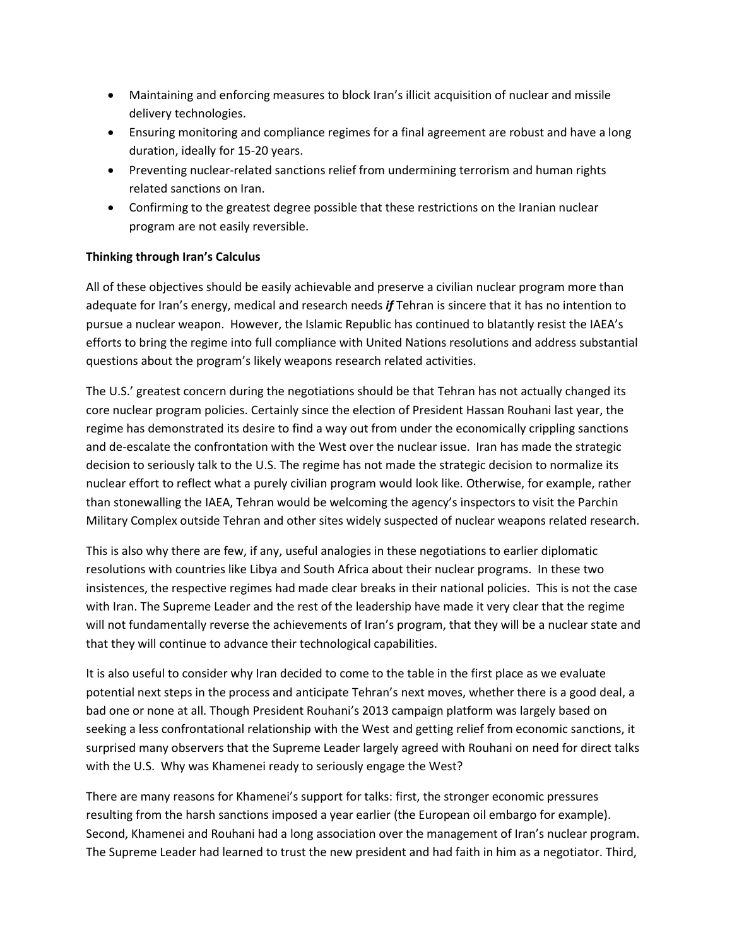- Maintaining and enforcing measures to block Iran's illicit acquisition of nuclear and missile delivery technologies.
- Ensuring monitoring and compliance regimes for a final agreement are robust and have a long duration, ideally for 15-20 years.
- Preventing nuclear-related sanctions relief from undermining terrorism and human rights related sanctions on Iran.
- Confirming to the greatest degree possible that these restrictions on the Iranian nuclear program are not easily reversible.

# **Thinking through Iran's Calculus**

All of these objectives should be easily achievable and preserve a civilian nuclear program more than adequate for Iran's energy, medical and research needs *if* Tehran is sincere that it has no intention to pursue a nuclear weapon. However, the Islamic Republic has continued to blatantly resist the IAEA's efforts to bring the regime into full compliance with United Nations resolutions and address substantial questions about the program's likely weapons research related activities.

The U.S.' greatest concern during the negotiations should be that Tehran has not actually changed its core nuclear program policies. Certainly since the election of President Hassan Rouhani last year, the regime has demonstrated its desire to find a way out from under the economically crippling sanctions and de-escalate the confrontation with the West over the nuclear issue. Iran has made the strategic decision to seriously talk to the U.S. The regime has not made the strategic decision to normalize its nuclear effort to reflect what a purely civilian program would look like. Otherwise, for example, rather than stonewalling the IAEA, Tehran would be welcoming the agency's inspectors to visit the Parchin Military Complex outside Tehran and other sites widely suspected of nuclear weapons related research.

This is also why there are few, if any, useful analogies in these negotiations to earlier diplomatic resolutions with countries like Libya and South Africa about their nuclear programs. In these two insistences, the respective regimes had made clear breaks in their national policies. This is not the case with Iran. The Supreme Leader and the rest of the leadership have made it very clear that the regime will not fundamentally reverse the achievements of Iran's program, that they will be a nuclear state and that they will continue to advance their technological capabilities.

It is also useful to consider why Iran decided to come to the table in the first place as we evaluate potential next steps in the process and anticipate Tehran's next moves, whether there is a good deal, a bad one or none at all. Though President Rouhani's 2013 campaign platform was largely based on seeking a less confrontational relationship with the West and getting relief from economic sanctions, it surprised many observers that the Supreme Leader largely agreed with Rouhani on need for direct talks with the U.S. Why was Khamenei ready to seriously engage the West?

There are many reasons for Khamenei's support for talks: first, the stronger economic pressures resulting from the harsh sanctions imposed a year earlier (the European oil embargo for example). Second, Khamenei and Rouhani had a long association over the management of Iran's nuclear program. The Supreme Leader had learned to trust the new president and had faith in him as a negotiator. Third,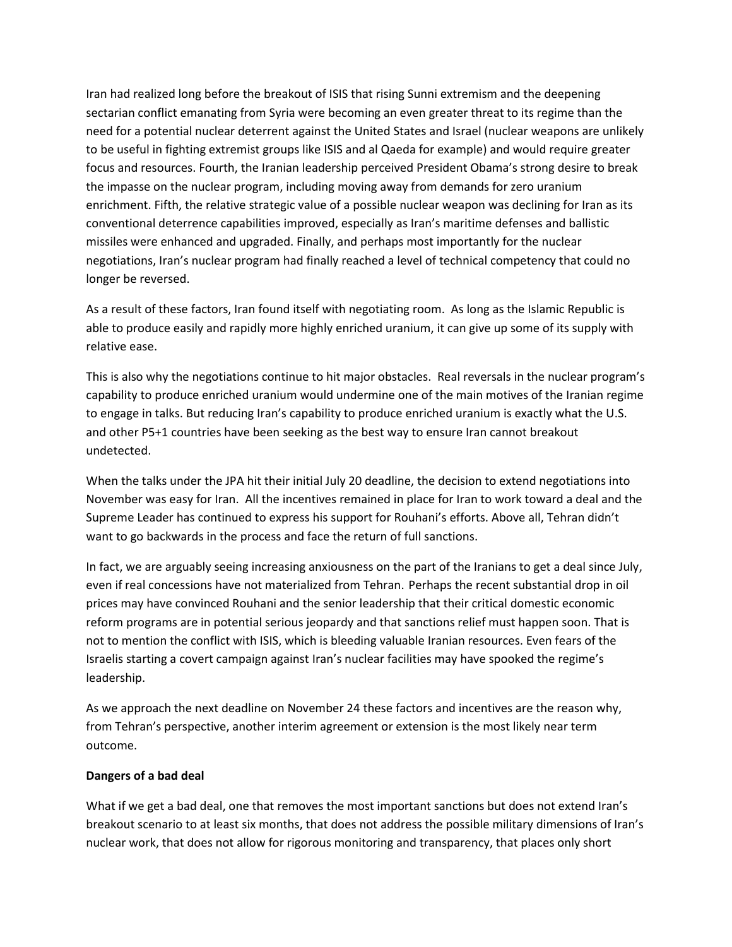Iran had realized long before the breakout of ISIS that rising Sunni extremism and the deepening sectarian conflict emanating from Syria were becoming an even greater threat to its regime than the need for a potential nuclear deterrent against the United States and Israel (nuclear weapons are unlikely to be useful in fighting extremist groups like ISIS and al Qaeda for example) and would require greater focus and resources. Fourth, the Iranian leadership perceived President Obama's strong desire to break the impasse on the nuclear program, including moving away from demands for zero uranium enrichment. Fifth, the relative strategic value of a possible nuclear weapon was declining for Iran as its conventional deterrence capabilities improved, especially as Iran's maritime defenses and ballistic missiles were enhanced and upgraded. Finally, and perhaps most importantly for the nuclear negotiations, Iran's nuclear program had finally reached a level of technical competency that could no longer be reversed.

As a result of these factors, Iran found itself with negotiating room. As long as the Islamic Republic is able to produce easily and rapidly more highly enriched uranium, it can give up some of its supply with relative ease.

This is also why the negotiations continue to hit major obstacles. Real reversals in the nuclear program's capability to produce enriched uranium would undermine one of the main motives of the Iranian regime to engage in talks. But reducing Iran's capability to produce enriched uranium is exactly what the U.S. and other P5+1 countries have been seeking as the best way to ensure Iran cannot breakout undetected.

When the talks under the JPA hit their initial July 20 deadline, the decision to extend negotiations into November was easy for Iran. All the incentives remained in place for Iran to work toward a deal and the Supreme Leader has continued to express his support for Rouhani's efforts. Above all, Tehran didn't want to go backwards in the process and face the return of full sanctions.

In fact, we are arguably seeing increasing anxiousness on the part of the Iranians to get a deal since July, even if real concessions have not materialized from Tehran. Perhaps the recent substantial drop in oil prices may have convinced Rouhani and the senior leadership that their critical domestic economic reform programs are in potential serious jeopardy and that sanctions relief must happen soon. That is not to mention the conflict with ISIS, which is bleeding valuable Iranian resources. Even fears of the Israelis starting a covert campaign against Iran's nuclear facilities may have spooked the regime's leadership.

As we approach the next deadline on November 24 these factors and incentives are the reason why, from Tehran's perspective, another interim agreement or extension is the most likely near term outcome.

### **Dangers of a bad deal**

What if we get a bad deal, one that removes the most important sanctions but does not extend Iran's breakout scenario to at least six months, that does not address the possible military dimensions of Iran's nuclear work, that does not allow for rigorous monitoring and transparency, that places only short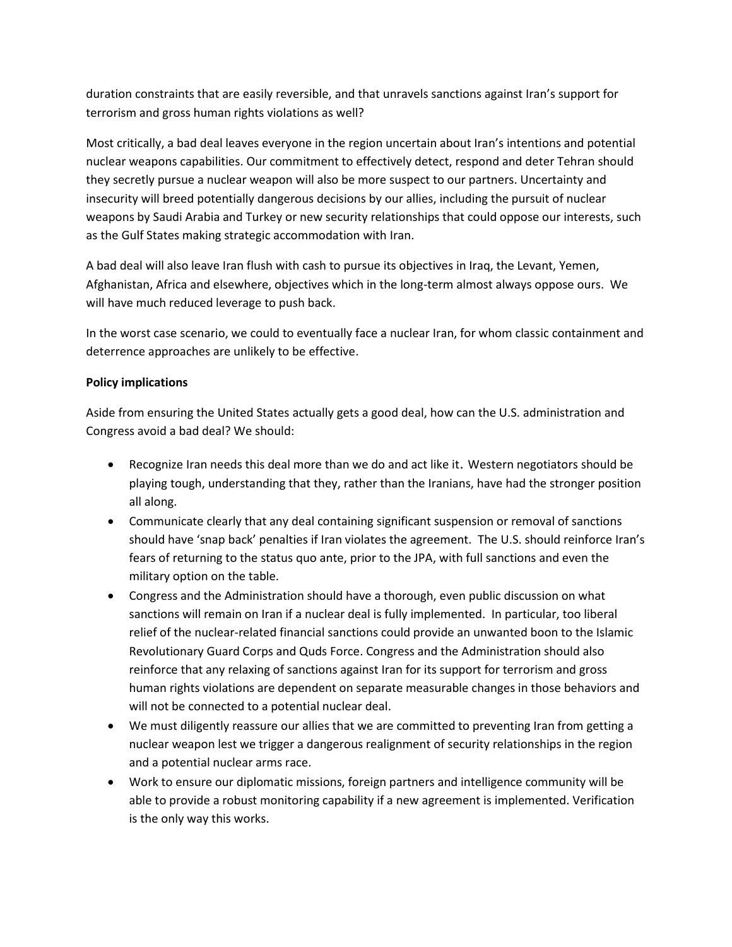duration constraints that are easily reversible, and that unravels sanctions against Iran's support for terrorism and gross human rights violations as well?

Most critically, a bad deal leaves everyone in the region uncertain about Iran's intentions and potential nuclear weapons capabilities. Our commitment to effectively detect, respond and deter Tehran should they secretly pursue a nuclear weapon will also be more suspect to our partners. Uncertainty and insecurity will breed potentially dangerous decisions by our allies, including the pursuit of nuclear weapons by Saudi Arabia and Turkey or new security relationships that could oppose our interests, such as the Gulf States making strategic accommodation with Iran.

A bad deal will also leave Iran flush with cash to pursue its objectives in Iraq, the Levant, Yemen, Afghanistan, Africa and elsewhere, objectives which in the long-term almost always oppose ours. We will have much reduced leverage to push back.

In the worst case scenario, we could to eventually face a nuclear Iran, for whom classic containment and deterrence approaches are unlikely to be effective.

## **Policy implications**

Aside from ensuring the United States actually gets a good deal, how can the U.S. administration and Congress avoid a bad deal? We should:

- Recognize Iran needs this deal more than we do and act like it. Western negotiators should be playing tough, understanding that they, rather than the Iranians, have had the stronger position all along.
- Communicate clearly that any deal containing significant suspension or removal of sanctions should have 'snap back' penalties if Iran violates the agreement. The U.S. should reinforce Iran's fears of returning to the status quo ante, prior to the JPA, with full sanctions and even the military option on the table.
- Congress and the Administration should have a thorough, even public discussion on what sanctions will remain on Iran if a nuclear deal is fully implemented. In particular, too liberal relief of the nuclear-related financial sanctions could provide an unwanted boon to the Islamic Revolutionary Guard Corps and Quds Force. Congress and the Administration should also reinforce that any relaxing of sanctions against Iran for its support for terrorism and gross human rights violations are dependent on separate measurable changes in those behaviors and will not be connected to a potential nuclear deal.
- We must diligently reassure our allies that we are committed to preventing Iran from getting a nuclear weapon lest we trigger a dangerous realignment of security relationships in the region and a potential nuclear arms race.
- Work to ensure our diplomatic missions, foreign partners and intelligence community will be able to provide a robust monitoring capability if a new agreement is implemented. Verification is the only way this works.